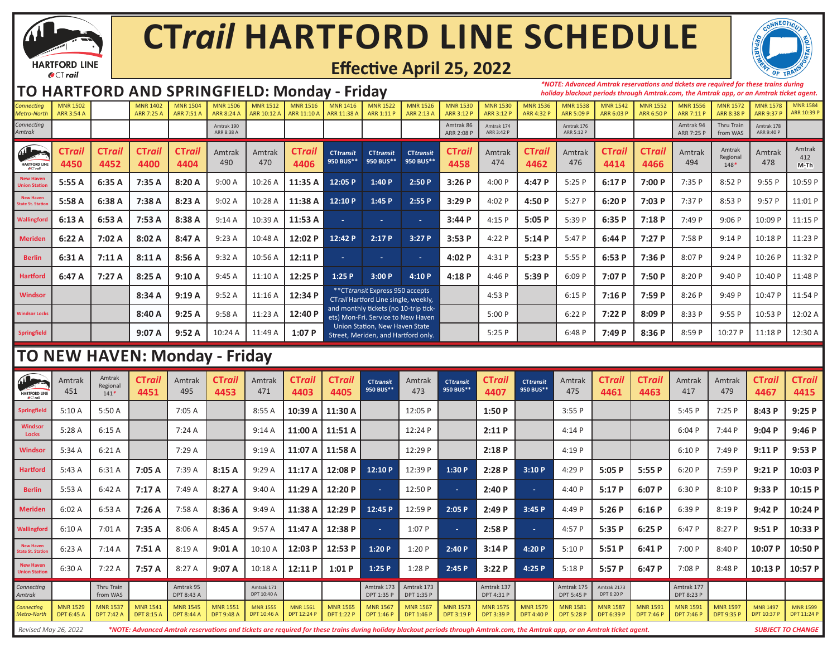

# **CT***rail* **HARTFORD LINE SCHEDULE**



## **Effective April 25, 2022**

### **TO HARTFORD AND SPRINGFIELD: Monday - Friday**

*\*NOTE: Advanced Amtrak reservations and tickets are required for these trains during holiday blackout periods through Amtrak.com, the Amtrak app, or an Amtrak ticket agent.* 

| Connectina<br>Metro-North                              | <b>MNR 1502</b><br><b>ARR 3:54 A</b> |                       | <b>MNR 1402</b><br>ARR 7:25 A | <b>MNR 1504</b><br>ARR 7:51 | <b>MNR 1506</b><br><b>ARR 8:24 A</b> | <b>MNR 1512</b><br>ARR 10:12 / | <b>MNR 1516</b><br>ARR 11:10 A | <b>MNR 1416</b><br>ARR 11:38 A                                            | <b>MNR 1522</b><br>ARR 1:11 P                                               | <b>MNR 1526</b><br>ARR 2:13 A | <b>MNR 1530</b><br><b>ARR 3:12 P</b> | <b>MNR 1530</b><br>ARR 3:12 P | <b>MNR 1536</b><br>ARR 4:32 P | <b>MNR 1538</b><br>ARR 5:09 P | <b>MNR 1542</b><br>ARR 6:03 P | <b>MNR 1552</b><br><b>ARR 6:50 F</b> | <b>MNR 1556</b><br><b>ARR 7:11 P</b> | <b>MNR 1572</b><br>ARR 8:38 P | <b>MNR 1578</b><br><b>ARR 9:37 P</b> | <b>MNR 1584</b><br>ARR 10:39 P |
|--------------------------------------------------------|--------------------------------------|-----------------------|-------------------------------|-----------------------------|--------------------------------------|--------------------------------|--------------------------------|---------------------------------------------------------------------------|-----------------------------------------------------------------------------|-------------------------------|--------------------------------------|-------------------------------|-------------------------------|-------------------------------|-------------------------------|--------------------------------------|--------------------------------------|-------------------------------|--------------------------------------|--------------------------------|
| Connecting<br>Amtrak                                   |                                      |                       |                               |                             | Amtrak 190<br>ARR 8:38 A             |                                |                                |                                                                           |                                                                             |                               | Amtrak 86<br>ARR 2:08 P              | Amtrak 174<br>ARR 3:42 P      |                               | Amtrak 176<br>ARR 5:12 P      |                               |                                      | Amtrak 94<br>ARR 7:25 P              | Thru Train<br>from WAS        | Amtrak 178<br>ARR 9:40 P             |                                |
| $\mathbf{A}$<br><b>HARTFORD LINE</b><br><b>OCTrail</b> | CTrail<br>4450                       | <b>CTrail</b><br>4452 | <b>CTrail</b><br>4400         | <b>CTrail</b><br>4404       | Amtrak<br>490                        | Amtrak<br>470                  | <b>CTrail</b><br>4406          | <b>CTtransit</b><br>950 BUS**                                             | <b>CTtransit</b><br>950 BUS**                                               | <b>CTtransit</b><br>950 BUS** | <b>CTrail</b><br>4458                | Amtrak<br>474                 | <b>CTrail</b><br>4462         | Amtrak<br>476                 | <b>CTrail</b><br>4414         | <b>CTrail</b><br>4466                | Amtrak<br>494                        | Amtrak<br>Regional<br>$148*$  | Amtrak<br>478                        | Amtrak<br>412<br>$M-Th$        |
| <b>New Haven</b><br><b>Union Station</b>               | 5:55 A                               | 6:35A                 | 7:35 A                        | 8:20A                       | 9:00A                                | 10:26 A                        | 11:35 A                        | 12:05 P                                                                   | 1:40P                                                                       | 2:50P                         | 3:26P                                | 4:00 P                        | 4:47 P                        | 5:25P                         | 6:17P                         | 7:00P                                | 7:35 P                               | 8:52 P                        | 9:55P                                | 10:59 P                        |
| <b>New Haven</b><br><b>State St. Station</b>           | 5:58 A                               | 6:38 A                | 7:38 A                        | 8:23A                       | 9:02A                                | 10:28 A                        | 11:38 A                        | 12:10 P                                                                   | 1:45P                                                                       | 2:55P                         | 3:29P                                | 4:02 P                        | 4:50 P                        | 5:27P                         | 6:20P                         | 7:03 P                               | 7:37 P                               | 8:53 P                        | 9:57P                                | 11:01 P                        |
| Wallingford                                            | 6:13A                                | 6:53A                 | 7:53 A                        | 8:38 A                      | 9:14A                                | 10:39 A                        | 11:53 A                        | a.                                                                        | ÷.                                                                          | $\sim$                        | 3:44P                                | 4:15 P                        | 5:05P                         | 5:39 P                        | 6:35P                         | 7:18P                                | 7:49 P                               | 9:06P                         | 10:09 P                              | 11:15 P                        |
| <b>Meriden</b>                                         | 6:22A                                | 7:02A                 | 8:02A                         | 8:47A                       | 9:23A                                | 10:48 A                        | 12:02 P                        | 12:42 P                                                                   | 2:17P                                                                       | 3:27P                         | 3:53P                                | 4:22 P                        | 5:14P                         | 5:47 P                        | 6:44P                         | 7:27P                                | 7:58 P                               | 9:14P                         | 10:18 P                              | 11:23 P                        |
| <b>Berlin</b>                                          | 6:31A                                | 7:11A                 | 8:11A                         | 8:56 A                      | 9:32A                                | 10:56 A                        | 12:11 P                        | $\sim$                                                                    | ж.                                                                          |                               | 4:02P                                | 4:31 P                        | 5:23P                         | 5:55P                         | 6:53P                         | 7:36P                                | 8:07 P                               | 9:24P                         | 10:26 P                              | 11:32 P                        |
| <b>Hartford</b>                                        | 6:47 A                               | 7:27A                 | 8:25A                         | 9:10A                       | 9:45A                                | 11:10 A                        | 12:25 P                        | 1:25P                                                                     | 3:00P                                                                       | 4:10P                         | 4:18P                                | 4:46P                         | 5:39 P                        | 6:09P                         | 7:07P                         | 7:50P                                | 8:20P                                | 9:40P                         | 10:40 P                              | 11:48 P                        |
| <b>Windsor</b>                                         |                                      |                       | 8:34A                         | 9:19A                       | 9:52A                                | 11:16 A                        | 12:34 P                        | ** CT transit Express 950 accepts<br>CTrail Hartford Line single, weekly, |                                                                             |                               |                                      | 4:53P                         |                               | 6:15P                         | 7:16P                         | 7:59P                                | 8:26P                                | 9:49P                         | 10:47 P                              | 11:54 P                        |
| <b>Windsor Locks</b>                                   |                                      |                       | 8:40A                         | 9:25A                       | 9:58A                                | 11:23 A                        | 12:40 P                        |                                                                           | and monthly tickets (no 10-trip tick-<br>ets) Mon-Fri. Service to New Haven |                               |                                      | 5:00P                         |                               | 6:22P                         | 7:22 P                        | 8:09P                                | 8:33 P                               | 9:55P                         | 10:53 P                              | 12:02 A                        |
| Springfield                                            |                                      |                       | 9:07A                         | 9:52A                       | 10:24 A                              | 11:49 A                        | 1:07P                          | Union Station, New Haven State<br>Street, Meriden, and Hartford only.     |                                                                             |                               |                                      | 5:25P                         |                               | 6:48P                         | 7:49 P                        | 8:36P                                | 8:59 P                               | 10:27 P                       | 11:18 P                              | 12:30 A                        |
|                                                        |                                      |                       |                               |                             |                                      |                                |                                |                                                                           |                                                                             |                               |                                      |                               |                               |                               |                               |                                      |                                      |                               |                                      |                                |

## **TO NEW HAVEN: Monday - Friday**

| Æ<br><b>HARTFORD LIN</b><br><b>O</b> CT rail | Amtrak<br>451                                                                                                                                                                                        | Amtrak<br>Regiona<br>$141*$   | <b>CTrail</b><br>4451                | Amtrak<br>495                        | <b>CTrail</b><br>4453                | Amtrak<br>471                  | <b>CTrail</b><br>4403          | <b>CTrail</b><br>4405                | <b>CTtransit</b><br>950 BUS** | Amtrak<br>473                 | <b>CTtransit</b><br>950 BUS**        | <b>CTrail</b><br>4407         | <b>CTtransit</b><br>950 BUS**        | Amtrak<br>475                        | <b>CTrail</b><br>4461         | CTrail<br>4463                       | Amtrak<br>417                        | Amtrak<br>479                 | <b>CTrail</b><br>4467          | <b>CTrail</b><br>4415          |
|----------------------------------------------|------------------------------------------------------------------------------------------------------------------------------------------------------------------------------------------------------|-------------------------------|--------------------------------------|--------------------------------------|--------------------------------------|--------------------------------|--------------------------------|--------------------------------------|-------------------------------|-------------------------------|--------------------------------------|-------------------------------|--------------------------------------|--------------------------------------|-------------------------------|--------------------------------------|--------------------------------------|-------------------------------|--------------------------------|--------------------------------|
| <b>Springfield</b>                           | 5:10A                                                                                                                                                                                                | 5:50 A                        |                                      | 7:05A                                |                                      | 8:55A                          | 10:39 A                        | 11:30 A                              |                               | 12:05 P                       |                                      | 1:50P                         |                                      | 3:55P                                |                               |                                      | 5:45P                                | 7:25P                         | 8:43P                          | 9:25P                          |
| Windsor<br>Locks                             | 5:28A                                                                                                                                                                                                | 6:15A                         |                                      | 7:24A                                |                                      | 9:14A                          | 11:00 A                        | 11:51 A                              |                               | 12:24 P                       |                                      | 2:11P                         |                                      | 4:14P                                |                               |                                      | 6:04P                                | 7:44P                         | 9:04P                          | 9:46P                          |
| Windsor                                      | 5:34 A                                                                                                                                                                                               | 6:21A                         |                                      | 7:29 A                               |                                      | 9:19A                          | 11:07 A                        | 11:58 A                              |                               | 12:29 P                       |                                      | 2:18P                         |                                      | 4:19 P                               |                               |                                      | 6:10P                                | 7:49 P                        | 9:11P                          | 9:53P                          |
| <b>Hartford</b>                              | 5:43A                                                                                                                                                                                                | 6:31 A                        | 7:05 A                               | 7:39 A                               | 8:15A                                | 9:29A                          | 11:17 A                        | 12:08 P                              | 12:10 P                       | 12:39 P                       | 1:30P                                | 2:28P                         | 3:10P                                | 4:29 P                               | 5:05P                         | 5:55P                                | 6:20P                                | 7:59 P                        | 9:21P                          | 10:03 P                        |
| <b>Berlin</b>                                | 5:53A                                                                                                                                                                                                | 6:42A                         | 7:17A                                | 7:49 A                               | 8:27A                                | 9:40A                          | 11:29 A                        | 12:20 P                              | <b>College</b>                | 12:50 P                       | <b>Contract</b>                      | 2:40P                         | $\sim 10$                            | 4:40 P                               | 5:17P                         | 6:07P                                | 6:30P                                | 8:10P                         | 9:33P                          | 10:15 P                        |
| <b>Meriden</b>                               | 6:02A                                                                                                                                                                                                | 6:53A                         | 7:26A                                | 7:58 A                               | 8:36 A                               | 9:49A                          | 11:38 A                        | 12:29 P                              | 12:45 P                       | 12:59 P                       | 2:05P                                | 2:49P                         | 3:45 P                               | 4:49 P                               | 5:26P                         | 6:16P                                | 6:39 P                               | 8:19 P                        | 9:42P                          | 10:24 P                        |
| Wallingford                                  | 6:10A                                                                                                                                                                                                | 7:01A                         | 7:35 A                               | 8:06A                                | 8:45 A                               | 9:57A                          | 11:47 A                        | 12:38 P                              | $\sim$                        | 1:07P                         | $\sim$                               | 2:58P                         | $\sim 10$                            | 4:57 P                               | 5:35P                         | 6:25P                                | 6:47P                                | 8:27P                         | 9:51P                          | 10:33 P                        |
| <b>New Haven</b><br><b>State St. Station</b> | 6:23A                                                                                                                                                                                                | 7:14A                         | 7:51A                                | 8:19A                                | 9:01A                                | 10:10 A                        | 12:03 P                        | 12:53 P                              | 1:20P                         | 1:20P                         | 2:40P                                | 3:14P                         | 4:20 P                               | 5:10P                                | 5:51P                         | 6:41P                                | 7:00 P                               | 8:40 P                        | 10:07 P                        | 10:50 P                        |
| <b>New Haven</b><br><b>Union Station</b>     | 6:30 A                                                                                                                                                                                               | 7:22A                         | 7:57 A                               | 8:27A                                | 9:07A                                | 10:18 A                        | 12:11 P                        | 1:01P                                | 1:25P                         | 1:28P                         | 2:45P                                | 3:22P                         | 4:25 P                               | 5:18P                                | 5:57P                         | 6:47P                                | 7:08 P                               | 8:48 P                        | 10:13P                         | 10:57 P                        |
| Connecting<br>Amtrak                         |                                                                                                                                                                                                      | <b>Thru Train</b><br>from WAS |                                      | Amtrak 95<br>DPT 8:43 A              |                                      | Amtrak 171<br>DPT 10:40 A      |                                |                                      | Amtrak 173<br>DPT 1:35 P      | Amtrak 173<br>DPT 1:35 P      |                                      | Amtrak 137<br>DPT 4:31 P      |                                      | Amtrak 175<br>DPT 5:45 P             | Amtrak 2173<br>DPT 6:20 P     |                                      | Amtrak 177<br>DPT 8:23 P             |                               |                                |                                |
| Connecting<br>Metro-North                    | <b>MNR 1529</b><br><b>DPT 6:45 A</b>                                                                                                                                                                 | <b>MNR 1537</b><br>DPT 7:42 A | <b>MNR 1541</b><br><b>DPT 8:15 A</b> | <b>MNR 1545</b><br><b>DPT 8:44 A</b> | <b>MNR 1551</b><br><b>DPT 9:48 A</b> | <b>MNR 1555</b><br>DPT 10:46 A | <b>MNR 1561</b><br>DPT 12:24 P | <b>MNR 1565</b><br><b>DPT 1:22 P</b> | <b>MNR 1567</b><br>DPT 1:46 P | <b>MNR 1567</b><br>DPT 1:46 P | <b>MNR 1573</b><br><b>DPT 3:19 P</b> | <b>MNR 1575</b><br>DPT 3:39 P | <b>MNR 1579</b><br><b>DPT 4:40 P</b> | <b>MNR 1581</b><br><b>DPT 5:28 P</b> | <b>MNR 1587</b><br>DPT 6:39 P | <b>MNR 1591</b><br><b>DPT 7:46 P</b> | <b>MNR 1591</b><br><b>DPT 7:46 P</b> | <b>MNR 1597</b><br>DPT 9:35 P | <b>MNR 1497</b><br>DPT 10:37 P | <b>MNR 1599</b><br>DPT 11:24 P |
|                                              | *NOTE: Advanced Amtrak reservations and tickets are required for these trains during holiday blackout periods through Amtrak.com, the Amtrak app, or an Amtrak ticket agent.<br>Revised May 26, 2022 |                               |                                      |                                      |                                      |                                |                                |                                      |                               |                               |                                      |                               |                                      |                                      | <b>SUBJECT TO CHANGE</b>      |                                      |                                      |                               |                                |                                |